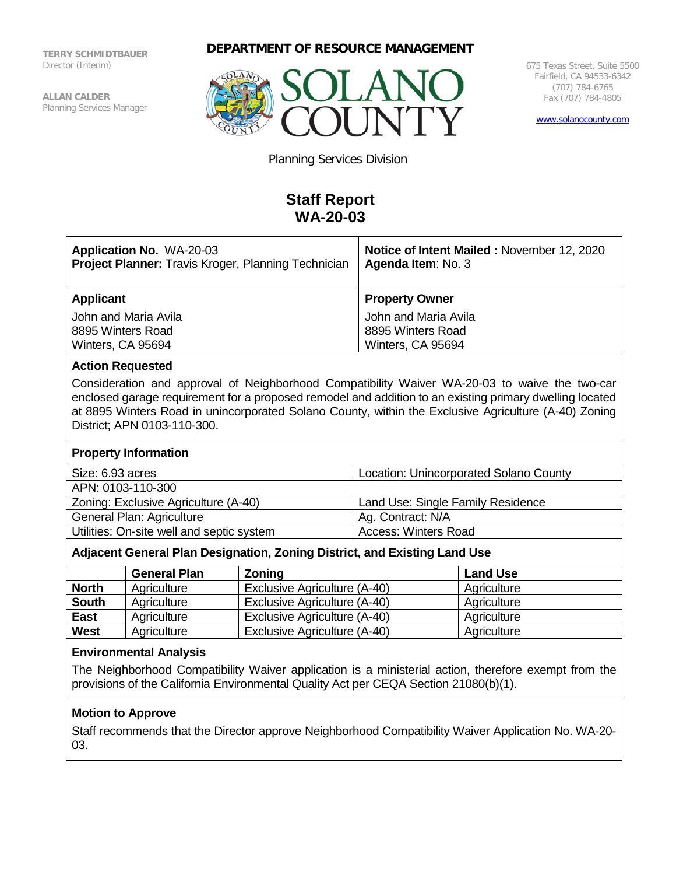**TERRY SCHMIDTBAUER** Director (Interim)

**ALLAN CALDER** Planning Services Manager





675 Texas Street, Suite 5500 Fairfield, CA 94533-6342 (707) 784-6765 Fax (707) 784-4805

[www.solanocounty.com](http://www.solanocounty.com/)

Planning Services Division

# **Staff Report WA-20-03**

| <b>Application No. WA-20-03</b><br><b>Project Planner:</b> Travis Kroger, Planning Technician | Notice of Intent Mailed: November 12, 2020<br>Agenda Item: No. 3 |
|-----------------------------------------------------------------------------------------------|------------------------------------------------------------------|
| <b>Applicant</b>                                                                              | <b>Property Owner</b>                                            |
| John and Maria Avila                                                                          | John and Maria Avila                                             |
| 8895 Winters Road                                                                             | 8895 Winters Road                                                |
| Winters, CA 95694                                                                             | Winters, CA 95694                                                |

#### **Action Requested**

Consideration and approval of Neighborhood Compatibility Waiver WA-20-03 to waive the two-car enclosed garage requirement for a proposed remodel and addition to an existing primary dwelling located at 8895 Winters Road in unincorporated Solano County, within the Exclusive Agriculture (A-40) Zoning District; APN 0103-110-300.

#### **Property Information**

| Size: 6.93 acres                          | <b>Location: Unincorporated Solano County</b> |  |
|-------------------------------------------|-----------------------------------------------|--|
| APN: 0103-110-300                         |                                               |  |
| Zoning: Exclusive Agriculture (A-40)      | Land Use: Single Family Residence             |  |
| General Plan: Agriculture                 | Ag. Contract: N/A                             |  |
| Utilities: On-site well and septic system | <b>Access: Winters Road</b>                   |  |

## **Adjacent General Plan Designation, Zoning District, and Existing Land Use**

|              | <b>General Plan</b> | <b>Zoning</b>                | <b>Land Use</b> |
|--------------|---------------------|------------------------------|-----------------|
| <b>North</b> | Agriculture         | Exclusive Agriculture (A-40) | Agriculture     |
| <b>South</b> | Agriculture         | Exclusive Agriculture (A-40) | Agriculture     |
| <b>East</b>  | Agriculture         | Exclusive Agriculture (A-40) | Agriculture     |
| <b>West</b>  | Agriculture         | Exclusive Agriculture (A-40) | Agriculture     |

#### **Environmental Analysis**

The Neighborhood Compatibility Waiver application is a ministerial action, therefore exempt from the provisions of the California Environmental Quality Act per CEQA Section 21080(b)(1).

## **Motion to Approve**

Staff recommends that the Director approve Neighborhood Compatibility Waiver Application No. WA-20- 03.